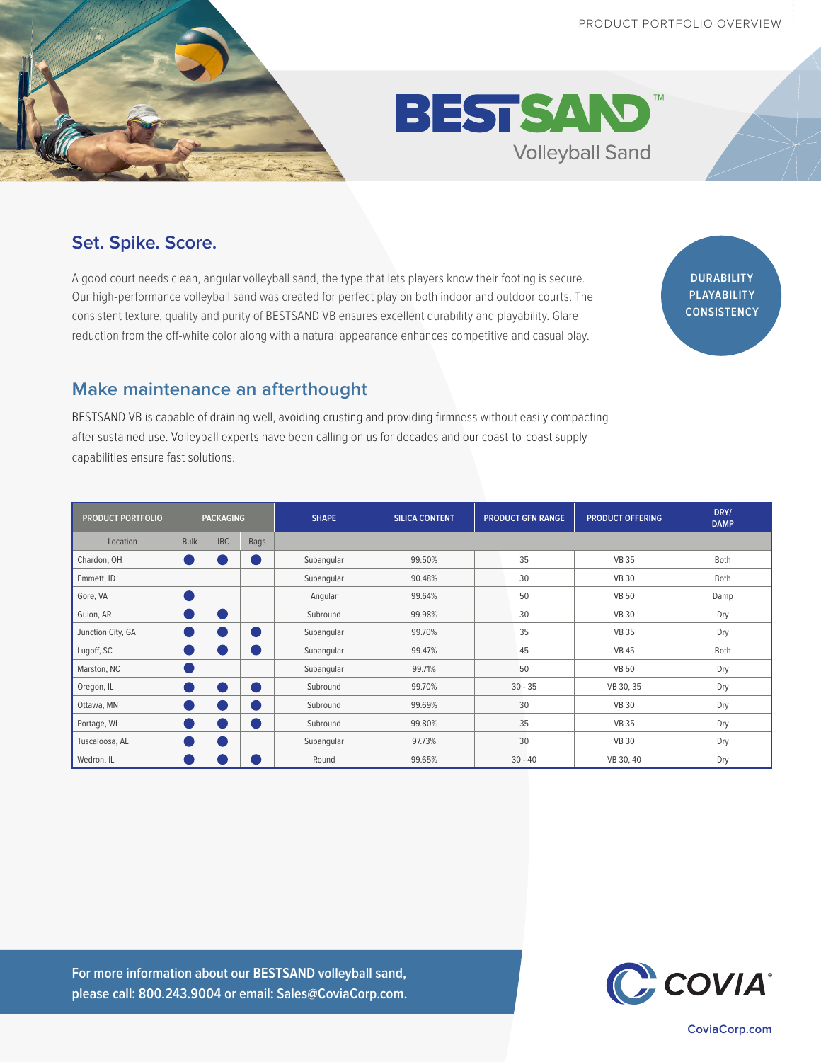



## **Set. Spike. Score.**

A good court needs clean, angular volleyball sand, the type that lets players know their footing is secure. Our high-performance volleyball sand was created for perfect play on both indoor and outdoor courts. The consistent texture, quality and purity of BESTSAND VB ensures excellent durability and playability. Glare reduction from the off-white color along with a natural appearance enhances competitive and casual play.

**DURABILITY PLAYABILITY CONSISTENCY**

## **Make maintenance an afterthought**

BESTSAND VB is capable of draining well, avoiding crusting and providing firmness without easily compacting after sustained use. Volleyball experts have been calling on us for decades and our coast-to-coast supply capabilities ensure fast solutions.

| <b>PRODUCT PORTFOLIO</b> | <b>PACKAGING</b> |            |      | <b>SHAPE</b> | <b>SILICA CONTENT</b> | <b>PRODUCT GFN RANGE</b> |           | <b>PRODUCT OFFERING</b> | DRY/<br><b>DAMP</b> |
|--------------------------|------------------|------------|------|--------------|-----------------------|--------------------------|-----------|-------------------------|---------------------|
| Location                 | <b>Bulk</b>      | <b>IBC</b> | Bags |              |                       |                          |           |                         |                     |
| Chardon, OH              | ۳                |            |      | Subangular   | 99.50%                |                          | 35        | <b>VB 35</b>            | Both                |
| Emmett, ID               |                  |            |      | Subangular   | 90.48%                |                          | 30        | <b>VB 30</b>            | Both                |
| Gore, VA                 | U.               |            |      | Angular      | 99.64%                |                          | 50        | <b>VB 50</b>            | Damp                |
| Guion, AR                | ×.               |            |      | Subround     | 99.98%                |                          | 30        | <b>VB 30</b>            | Dry                 |
| Junction City, GA        | o i              |            |      | Subangular   | 99.70%                |                          | 35        | <b>VB 35</b>            | Dry                 |
| Lugoff, SC               | ۰                |            |      | Subangular   | 99.47%                |                          | 45        | <b>VB 45</b>            | Both                |
| Marston, NC              | o)               |            |      | Subangular   | 99.71%                |                          | 50        | <b>VB 50</b>            | Dry                 |
| Oregon, IL               | o)               |            |      | Subround     | 99.70%                |                          | $30 - 35$ | VB 30, 35               | Dry                 |
| Ottawa, MN               | ×                |            |      | Subround     | 99.69%                |                          | 30        | <b>VB 30</b>            | Dry                 |
| Portage, WI              | o d              |            |      | Subround     | 99.80%                |                          | 35        | <b>VB 35</b>            | Dry                 |
| Tuscaloosa, AL           | e en la posta    |            |      | Subangular   | 97.73%                |                          | 30        | <b>VB 30</b>            | Dry                 |
| Wedron, IL               | ×.               |            |      | Round        | 99.65%                |                          | $30 - 40$ | VB 30, 40               | Dry                 |